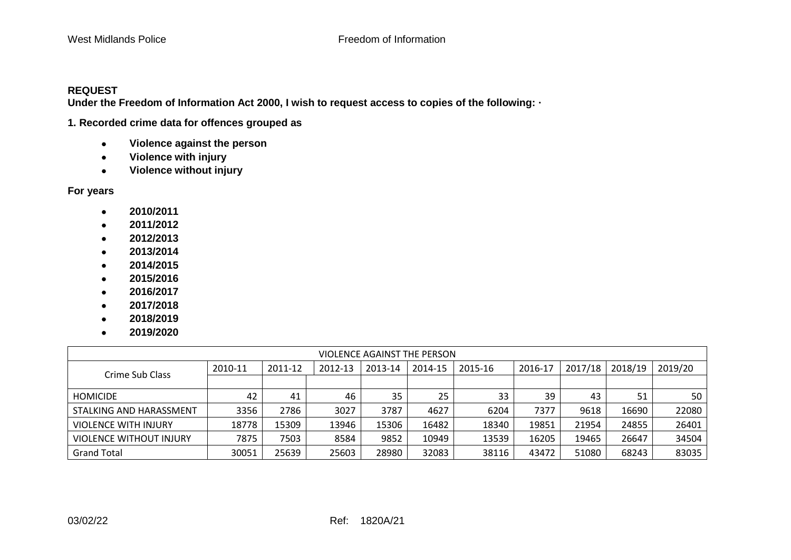## **REQUEST**

**Under the Freedom of Information Act 2000, I wish to request access to copies of the following: ·** 

**1. Recorded crime data for offences grouped as**

- • **Violence against the person**
- • **Violence with injury**
- • **Violence without injury**

**For years**

- • **2010/2011**
- • **2011/2012**
- • **2012/2013**
- • **2013/2014**
- • **2014/2015**
- • **2015/2016**
- • **2016/2017**
- • **2017/2018**
- • **2018/2019**
- • **2019/2020**

| VIOLENCE AGAINST THE PERSON    |         |         |         |         |         |         |         |         |         |         |
|--------------------------------|---------|---------|---------|---------|---------|---------|---------|---------|---------|---------|
| Crime Sub Class                | 2010-11 | 2011-12 | 2012-13 | 2013-14 | 2014-15 | 2015-16 | 2016-17 | 2017/18 | 2018/19 | 2019/20 |
|                                |         |         |         |         |         |         |         |         |         |         |
| <b>HOMICIDE</b>                | 42      | 41      | 46      | 35      | 25      | 33      | 39      | 43      | 51      | 50      |
| STALKING AND HARASSMENT        | 3356    | 2786    | 3027    | 3787    | 4627    | 6204    | 7377    | 9618    | 16690   | 22080   |
| <b>VIOLENCE WITH INJURY</b>    | 18778   | 15309   | 13946   | 15306   | 16482   | 18340   | 19851   | 21954   | 24855   | 26401   |
| <b>VIOLENCE WITHOUT INJURY</b> | 7875    | 7503    | 8584    | 9852    | 10949   | 13539   | 16205   | 19465   | 26647   | 34504   |
| <b>Grand Total</b>             | 30051   | 25639   | 25603   | 28980   | 32083   | 38116   | 43472   | 51080   | 68243   | 83035   |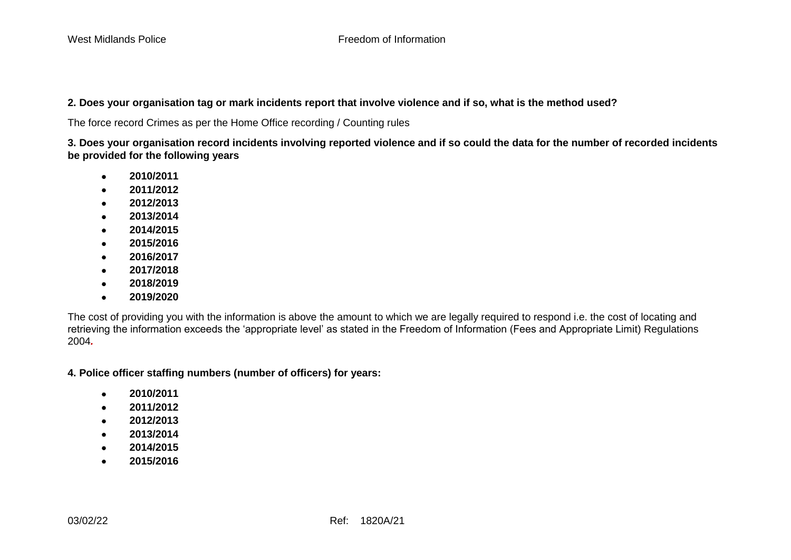## **2. Does your organisation tag or mark incidents report that involve violence and if so, what is the method used?**

The force record Crimes as per the Home Office recording / Counting rules

**3. Does your organisation record incidents involving reported violence and if so could the data for the number of recorded incidents be provided for the following years**

- • **2010/2011**
- • **2011/2012**
- • **2012/2013**
- • **2013/2014**
- • **2014/2015**
- • **2015/2016**
- • **2016/2017**
- • **2017/2018**
- • **2018/2019**
- • **2019/2020**

The cost of providing you with the information is above the amount to which we are legally required to respond i.e. the cost of locating and retrieving the information exceeds the 'appropriate level' as stated in the Freedom of Information (Fees and Appropriate Limit) Regulations 2004*.*

**4. Police officer staffing numbers (number of officers) for years:**

- • **2010/2011**
- • **2011/2012**
- • **2012/2013**
- • **2013/2014**
- • **2014/2015**
- • **2015/2016**